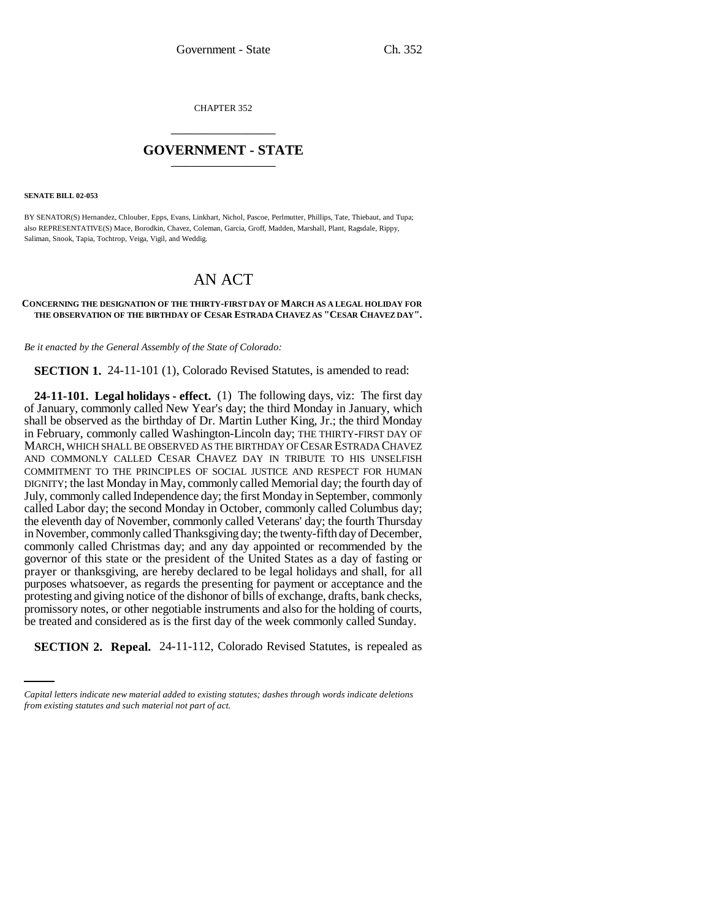CHAPTER 352 \_\_\_\_\_\_\_\_\_\_\_\_\_\_\_

## **GOVERNMENT - STATE** \_\_\_\_\_\_\_\_\_\_\_\_\_\_\_

**SENATE BILL 02-053**

BY SENATOR(S) Hernandez, Chlouber, Epps, Evans, Linkhart, Nichol, Pascoe, Perlmutter, Phillips, Tate, Thiebaut, and Tupa; also REPRESENTATIVE(S) Mace, Borodkin, Chavez, Coleman, Garcia, Groff, Madden, Marshall, Plant, Ragsdale, Rippy, Saliman, Snook, Tapia, Tochtrop, Veiga, Vigil, and Weddig.

## AN ACT

## **CONCERNING THE DESIGNATION OF THE THIRTY-FIRST DAY OF MARCH AS A LEGAL HOLIDAY FOR THE OBSERVATION OF THE BIRTHDAY OF CESAR ESTRADA CHAVEZ AS "CESAR CHAVEZ DAY".**

*Be it enacted by the General Assembly of the State of Colorado:*

**SECTION 1.** 24-11-101 (1), Colorado Revised Statutes, is amended to read:

be treated and considered as is the first day of the week commonly called Sunday. **24-11-101. Legal holidays - effect.** (1) The following days, viz: The first day of January, commonly called New Year's day; the third Monday in January, which shall be observed as the birthday of Dr. Martin Luther King, Jr.; the third Monday in February, commonly called Washington-Lincoln day; THE THIRTY-FIRST DAY OF MARCH, WHICH SHALL BE OBSERVED AS THE BIRTHDAY OF CESAR ESTRADA CHAVEZ AND COMMONLY CALLED CESAR CHAVEZ DAY IN TRIBUTE TO HIS UNSELFISH COMMITMENT TO THE PRINCIPLES OF SOCIAL JUSTICE AND RESPECT FOR HUMAN DIGNITY; the last Monday in May, commonly called Memorial day; the fourth day of July, commonly called Independence day; the first Monday in September, commonly called Labor day; the second Monday in October, commonly called Columbus day; the eleventh day of November, commonly called Veterans' day; the fourth Thursday in November, commonly called Thanksgiving day; the twenty-fifth day of December, commonly called Christmas day; and any day appointed or recommended by the governor of this state or the president of the United States as a day of fasting or prayer or thanksgiving, are hereby declared to be legal holidays and shall, for all purposes whatsoever, as regards the presenting for payment or acceptance and the protesting and giving notice of the dishonor of bills of exchange, drafts, bank checks, promissory notes, or other negotiable instruments and also for the holding of courts,

**SECTION 2. Repeal.** 24-11-112, Colorado Revised Statutes, is repealed as

*Capital letters indicate new material added to existing statutes; dashes through words indicate deletions from existing statutes and such material not part of act.*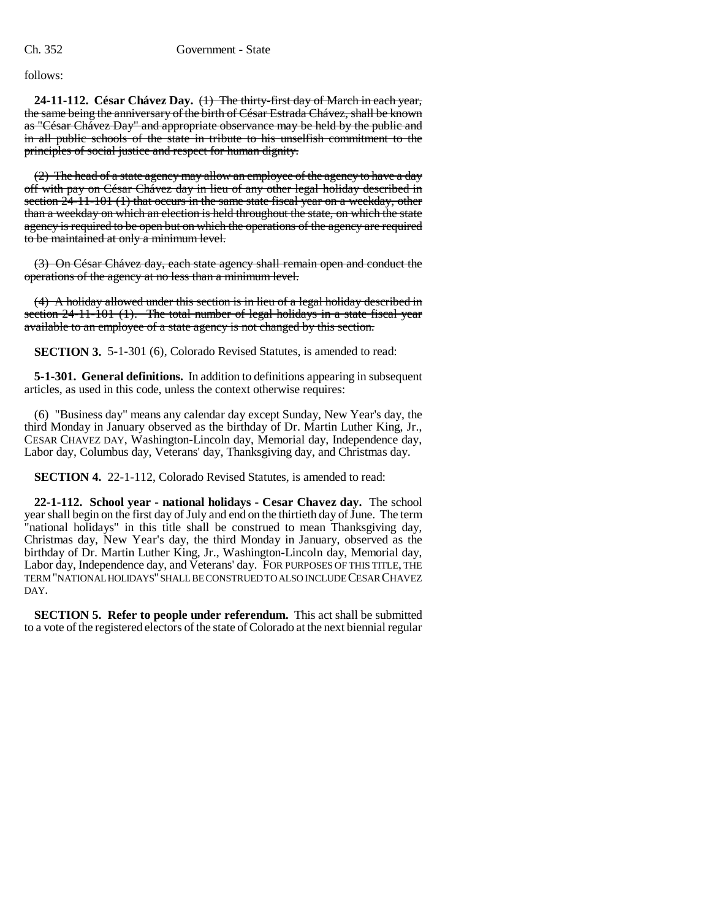follows:

**24-11-112. César Chávez Day.** (1) The thirty-first day of March in each year, the same being the anniversary of the birth of César Estrada Chávez, shall be known as "César Chávez Day" and appropriate observance may be held by the public and in all public schools of the state in tribute to his unselfish commitment to the principles of social justice and respect for human dignity.

(2) The head of a state agency may allow an employee of the agency to have a day off with pay on César Chávez day in lieu of any other legal holiday described in section  $24-11-101$  (1) that occurs in the same state fiscal year on a weekday, other than a weekday on which an election is held throughout the state, on which the state agency is required to be open but on which the operations of the agency are required to be maintained at only a minimum level.

(3) On César Chávez day, each state agency shall remain open and conduct the operations of the agency at no less than a minimum level.

(4) A holiday allowed under this section is in lieu of a legal holiday described in section 24-11-101 (1). The total number of legal holidays in a state fiscal year available to an employee of a state agency is not changed by this section.

**SECTION 3.** 5-1-301 (6), Colorado Revised Statutes, is amended to read:

**5-1-301. General definitions.** In addition to definitions appearing in subsequent articles, as used in this code, unless the context otherwise requires:

(6) "Business day" means any calendar day except Sunday, New Year's day, the third Monday in January observed as the birthday of Dr. Martin Luther King, Jr., CESAR CHAVEZ DAY, Washington-Lincoln day, Memorial day, Independence day, Labor day, Columbus day, Veterans' day, Thanksgiving day, and Christmas day.

**SECTION 4.** 22-1-112, Colorado Revised Statutes, is amended to read:

**22-1-112. School year - national holidays - Cesar Chavez day.** The school year shall begin on the first day of July and end on the thirtieth day of June. The term 'national holidays" in this title shall be construed to mean Thanksgiving day, Christmas day, New Year's day, the third Monday in January, observed as the birthday of Dr. Martin Luther King, Jr., Washington-Lincoln day, Memorial day, Labor day, Independence day, and Veterans' day. FOR PURPOSES OF THIS TITLE, THE TERM "NATIONAL HOLIDAYS" SHALL BE CONSTRUED TO ALSO INCLUDE CESAR CHAVEZ DAY.

**SECTION 5. Refer to people under referendum.** This act shall be submitted to a vote of the registered electors of the state of Colorado at the next biennial regular